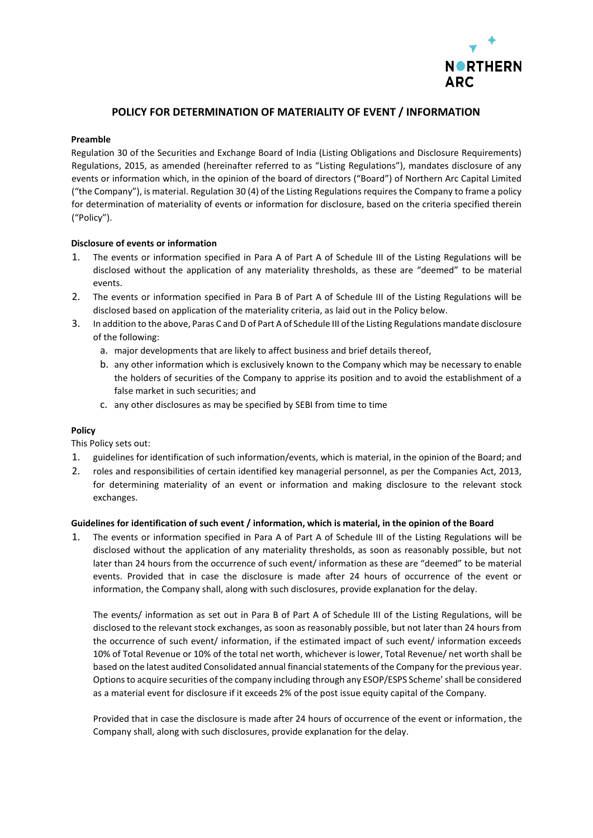

# **POLICY FOR DETERMINATION OF MATERIALITY OF EVENT / INFORMATION**

#### **Preamble**

Regulation 30 of the Securities and Exchange Board of India (Listing Obligations and Disclosure Requirements) Regulations, 2015, as amended (hereinafter referred to as "Listing Regulations"), mandates disclosure of any events or information which, in the opinion of the board of directors ("Board") of Northern Arc Capital Limited ("the Company"), is material. Regulation 30 (4) of the Listing Regulations requires the Company to frame a policy for determination of materiality of events or information for disclosure, based on the criteria specified therein ("Policy").

### **Disclosure of events or information**

- 1. The events or information specified in Para A of Part A of Schedule III of the Listing Regulations will be disclosed without the application of any materiality thresholds, as these are "deemed" to be material events.
- 2. The events or information specified in Para B of Part A of Schedule III of the Listing Regulations will be disclosed based on application of the materiality criteria, as laid out in the Policy below.
- 3. In addition to the above, Paras C and D of Part A of Schedule III of the Listing Regulations mandate disclosure of the following:
	- a. major developments that are likely to affect business and brief details thereof,
	- b. any other information which is exclusively known to the Company which may be necessary to enable the holders of securities of the Company to apprise its position and to avoid the establishment of a false market in such securities; and
	- c. any other disclosures as may be specified by SEBI from time to time

#### **Policy**

This Policy sets out:

- 1. guidelines for identification of such information/events, which is material, in the opinion of the Board; and
- 2. roles and responsibilities of certain identified key managerial personnel, as per the Companies Act, 2013, for determining materiality of an event or information and making disclosure to the relevant stock exchanges.

#### **Guidelines for identification of such event / information, which is material, in the opinion of the Board**

1. The events or information specified in Para A of Part A of Schedule III of the Listing Regulations will be disclosed without the application of any materiality thresholds, as soon as reasonably possible, but not later than 24 hours from the occurrence of such event/ information as these are "deemed" to be material events. Provided that in case the disclosure is made after 24 hours of occurrence of the event or information, the Company shall, along with such disclosures, provide explanation for the delay.

The events/ information as set out in Para B of Part A of Schedule III of the Listing Regulations, will be disclosed to the relevant stock exchanges, as soon as reasonably possible, but not later than 24 hours from the occurrence of such event/ information, if the estimated impact of such event/ information exceeds 10% of Total Revenue or 10% of the total net worth, whichever is lower, Total Revenue/ net worth shall be based on the latest audited Consolidated annual financial statements of the Company for the previous year. Options to acquire securities of the company including through any ESOP/ESPS Scheme' shall be considered as a material event for disclosure if it exceeds 2% of the post issue equity capital of the Company.

Provided that in case the disclosure is made after 24 hours of occurrence of the event or information, the Company shall, along with such disclosures, provide explanation for the delay.